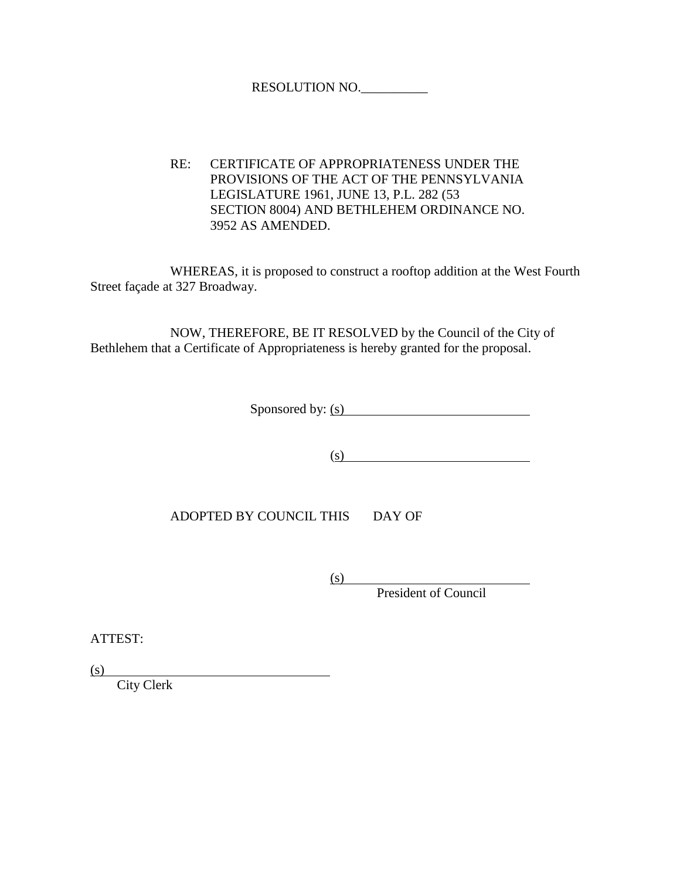## RESOLUTION NO.\_\_\_\_\_\_\_\_\_\_

RE: CERTIFICATE OF APPROPRIATENESS UNDER THE PROVISIONS OF THE ACT OF THE PENNSYLVANIA LEGISLATURE 1961, JUNE 13, P.L. 282 (53 SECTION 8004) AND BETHLEHEM ORDINANCE NO. 3952 AS AMENDED.

WHEREAS, it is proposed to construct a rooftop addition at the West Fourth Street façade at 327 Broadway.

NOW, THEREFORE, BE IT RESOLVED by the Council of the City of Bethlehem that a Certificate of Appropriateness is hereby granted for the proposal.

Sponsored by: (s)

 $\overline{\text{(s)}}$ 

ADOPTED BY COUNCIL THIS DAY OF

(s)

President of Council

ATTEST:

(s)

City Clerk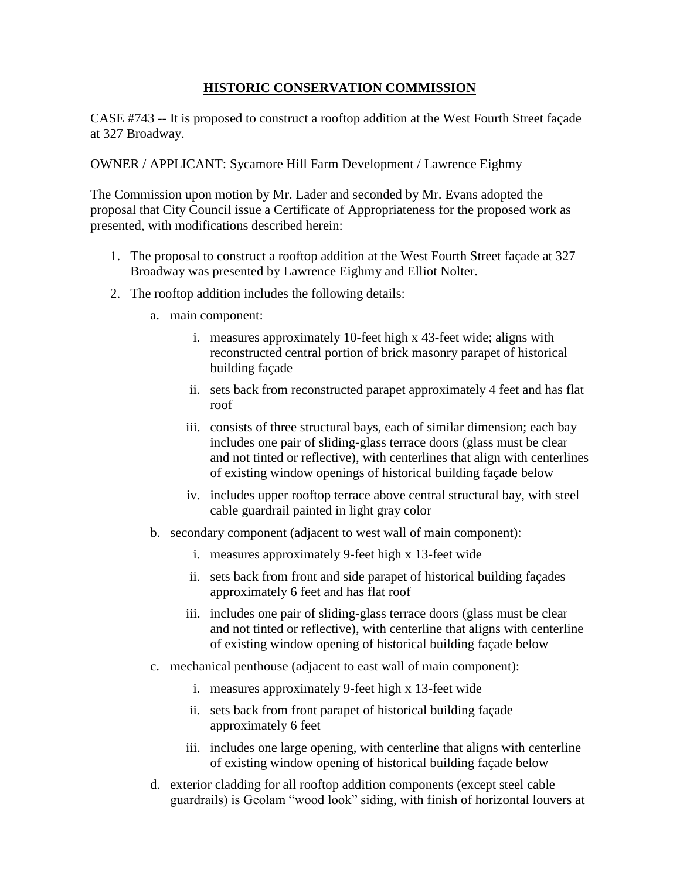## **HISTORIC CONSERVATION COMMISSION**

CASE #743 -- It is proposed to construct a rooftop addition at the West Fourth Street façade at 327 Broadway.

## OWNER / APPLICANT: Sycamore Hill Farm Development / Lawrence Eighmy

The Commission upon motion by Mr. Lader and seconded by Mr. Evans adopted the proposal that City Council issue a Certificate of Appropriateness for the proposed work as presented, with modifications described herein:

- 1. The proposal to construct a rooftop addition at the West Fourth Street façade at 327 Broadway was presented by Lawrence Eighmy and Elliot Nolter.
- 2. The rooftop addition includes the following details:
	- a. main component:
		- i. measures approximately 10-feet high x 43-feet wide; aligns with reconstructed central portion of brick masonry parapet of historical building façade
		- ii. sets back from reconstructed parapet approximately 4 feet and has flat roof
		- iii. consists of three structural bays, each of similar dimension; each bay includes one pair of sliding-glass terrace doors (glass must be clear and not tinted or reflective), with centerlines that align with centerlines of existing window openings of historical building façade below
		- iv. includes upper rooftop terrace above central structural bay, with steel cable guardrail painted in light gray color
	- b. secondary component (adjacent to west wall of main component):
		- i. measures approximately 9-feet high x 13-feet wide
		- ii. sets back from front and side parapet of historical building façades approximately 6 feet and has flat roof
		- iii. includes one pair of sliding-glass terrace doors (glass must be clear and not tinted or reflective), with centerline that aligns with centerline of existing window opening of historical building façade below
	- c. mechanical penthouse (adjacent to east wall of main component):
		- i. measures approximately 9-feet high x 13-feet wide
		- ii. sets back from front parapet of historical building façade approximately 6 feet
		- iii. includes one large opening, with centerline that aligns with centerline of existing window opening of historical building façade below
	- d. exterior cladding for all rooftop addition components (except steel cable guardrails) is Geolam "wood look" siding, with finish of horizontal louvers at